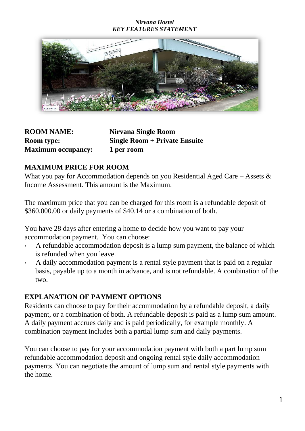#### *Nirvana Hostel KEY FEATURES STATEMENT*



| <b>ROOM NAME:</b>         | Nirvana Single Room                  |
|---------------------------|--------------------------------------|
| Room type:                | <b>Single Room + Private Ensuite</b> |
| <b>Maximum occupancy:</b> | 1 per room                           |

## **MAXIMUM PRICE FOR ROOM**

What you pay for Accommodation depends on you Residential Aged Care – Assets & Income Assessment. This amount is the Maximum.

The maximum price that you can be charged for this room is a refundable deposit of \$360,000.00 or daily payments of \$40.14 or a combination of both.

You have 28 days after entering a home to decide how you want to pay your accommodation payment. You can choose:

- A refundable accommodation deposit is a lump sum payment, the balance of which is refunded when you leave.
- A daily accommodation payment is a rental style payment that is paid on a regular basis, payable up to a month in advance, and is not refundable. A combination of the two.

# **EXPLANATION OF PAYMENT OPTIONS**

Residents can choose to pay for their accommodation by a refundable deposit, a daily payment, or a combination of both. A refundable deposit is paid as a lump sum amount. A daily payment accrues daily and is paid periodically, for example monthly. A combination payment includes both a partial lump sum and daily payments.

You can choose to pay for your accommodation payment with both a part lump sum refundable accommodation deposit and ongoing rental style daily accommodation payments. You can negotiate the amount of lump sum and rental style payments with the home.